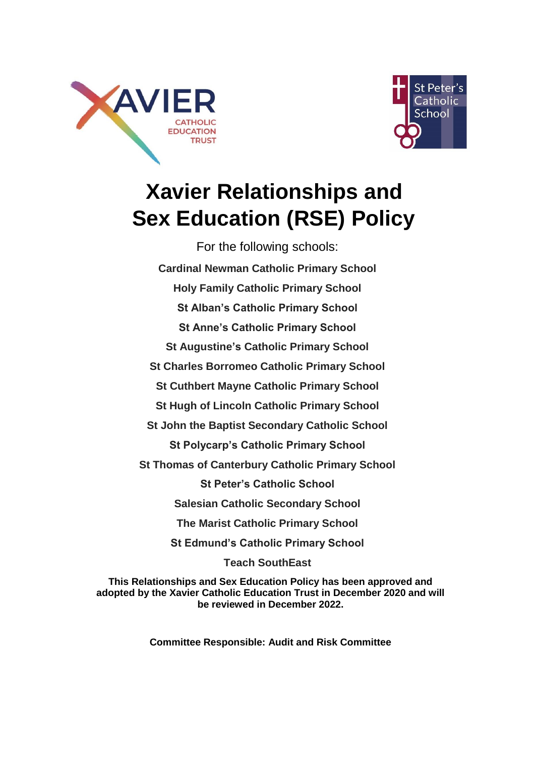



# **Xavier Relationships and Sex Education (RSE) Policy**

For the following schools: **Cardinal Newman Catholic Primary School Holy Family Catholic Primary School St Alban's Catholic Primary School St Anne's Catholic Primary School St Augustine's Catholic Primary School St Charles Borromeo Catholic Primary School St Cuthbert Mayne Catholic Primary School St Hugh of Lincoln Catholic Primary School St John the Baptist Secondary Catholic School St Polycarp's Catholic Primary School St Thomas of Canterbury Catholic Primary School St Peter's Catholic School Salesian Catholic Secondary School The Marist Catholic Primary School St Edmund's Catholic Primary School Teach SouthEast**

**This Relationships and Sex Education Policy has been approved and adopted by the Xavier Catholic Education Trust in December 2020 and will be reviewed in December 2022.**

**Committee Responsible: Audit and Risk Committee**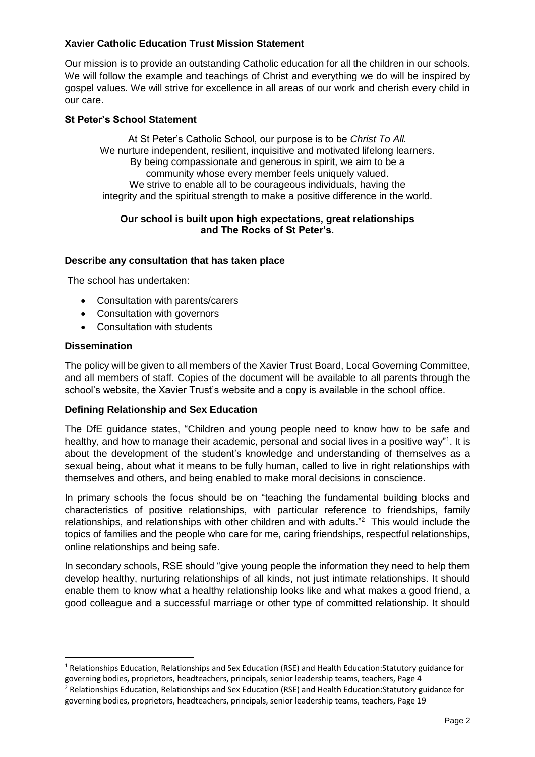# **Xavier Catholic Education Trust Mission Statement**

Our mission is to provide an outstanding Catholic education for all the children in our schools. We will follow the example and teachings of Christ and everything we do will be inspired by gospel values. We will strive for excellence in all areas of our work and cherish every child in our care.

#### **St Peter's School Statement**

At St Peter's Catholic School, our purpose is to be *Christ To All.* We nurture independent, resilient, inquisitive and motivated lifelong learners. By being compassionate and generous in spirit, we aim to be a community whose every member feels uniquely valued. We strive to enable all to be courageous individuals, having the integrity and the spiritual strength to make a positive difference in the world.

#### **Our school is built upon high expectations, great relationships and The Rocks of St Peter's.**

#### **Describe any consultation that has taken place**

The school has undertaken:

- Consultation with parents/carers
- Consultation with governors
- Consultation with students

#### **Dissemination**

**.** 

The policy will be given to all members of the Xavier Trust Board, Local Governing Committee, and all members of staff. Copies of the document will be available to all parents through the school's website, the Xavier Trust's website and a copy is available in the school office.

## **Defining Relationship and Sex Education**

The DfE guidance states, "Children and young people need to know how to be safe and healthy, and how to manage their academic, personal and social lives in a positive way"<sup>1</sup>. It is about the development of the student's knowledge and understanding of themselves as a sexual being, about what it means to be fully human, called to live in right relationships with themselves and others, and being enabled to make moral decisions in conscience.

In primary schools the focus should be on "teaching the fundamental building blocks and characteristics of positive relationships, with particular reference to friendships, family relationships, and relationships with other children and with adults."<sup>2</sup> This would include the topics of families and the people who care for me, caring friendships, respectful relationships, online relationships and being safe.

In secondary schools, RSE should "give young people the information they need to help them develop healthy, nurturing relationships of all kinds, not just intimate relationships. It should enable them to know what a healthy relationship looks like and what makes a good friend, a good colleague and a successful marriage or other type of committed relationship. It should

<sup>1</sup> Relationships Education, Relationships and Sex Education (RSE) and Health Education:Statutory guidance for governing bodies, proprietors, headteachers, principals, senior leadership teams, teachers, Page 4

<sup>&</sup>lt;sup>2</sup> Relationships Education, Relationships and Sex Education (RSE) and Health Education:Statutory guidance for governing bodies, proprietors, headteachers, principals, senior leadership teams, teachers, Page 19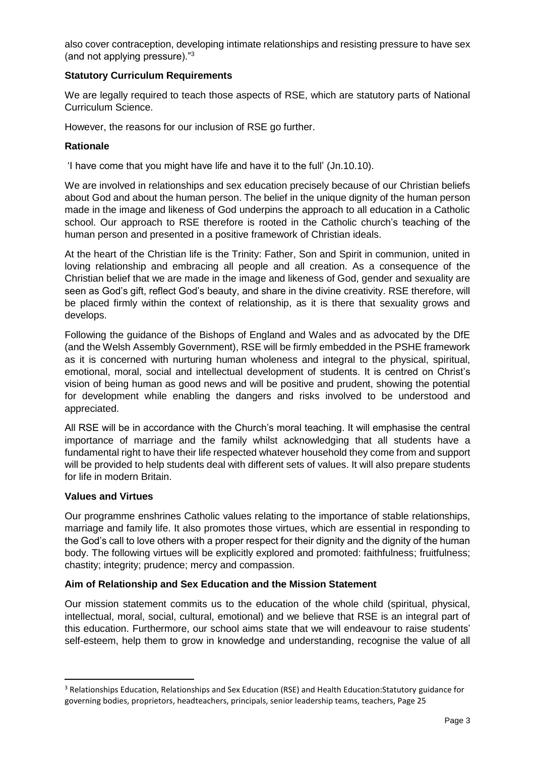also cover contraception, developing intimate relationships and resisting pressure to have sex (and not applying pressure)."<sup>3</sup>

## **Statutory Curriculum Requirements**

We are legally required to teach those aspects of RSE, which are statutory parts of National Curriculum Science.

However, the reasons for our inclusion of RSE go further.

# **Rationale**

'I have come that you might have life and have it to the full' (Jn.10.10).

We are involved in relationships and sex education precisely because of our Christian beliefs about God and about the human person. The belief in the unique dignity of the human person made in the image and likeness of God underpins the approach to all education in a Catholic school. Our approach to RSE therefore is rooted in the Catholic church's teaching of the human person and presented in a positive framework of Christian ideals.

At the heart of the Christian life is the Trinity: Father, Son and Spirit in communion, united in loving relationship and embracing all people and all creation. As a consequence of the Christian belief that we are made in the image and likeness of God, gender and sexuality are seen as God's gift, reflect God's beauty, and share in the divine creativity. RSE therefore, will be placed firmly within the context of relationship, as it is there that sexuality grows and develops.

Following the guidance of the Bishops of England and Wales and as advocated by the DfE (and the Welsh Assembly Government), RSE will be firmly embedded in the PSHE framework as it is concerned with nurturing human wholeness and integral to the physical, spiritual, emotional, moral, social and intellectual development of students. It is centred on Christ's vision of being human as good news and will be positive and prudent, showing the potential for development while enabling the dangers and risks involved to be understood and appreciated.

All RSE will be in accordance with the Church's moral teaching. It will emphasise the central importance of marriage and the family whilst acknowledging that all students have a fundamental right to have their life respected whatever household they come from and support will be provided to help students deal with different sets of values. It will also prepare students for life in modern Britain.

## **Values and Virtues**

1

Our programme enshrines Catholic values relating to the importance of stable relationships, marriage and family life. It also promotes those virtues, which are essential in responding to the God's call to love others with a proper respect for their dignity and the dignity of the human body. The following virtues will be explicitly explored and promoted: faithfulness; fruitfulness; chastity; integrity; prudence; mercy and compassion.

## **Aim of Relationship and Sex Education and the Mission Statement**

Our mission statement commits us to the education of the whole child (spiritual, physical, intellectual, moral, social, cultural, emotional) and we believe that RSE is an integral part of this education. Furthermore, our school aims state that we will endeavour to raise students' self-esteem, help them to grow in knowledge and understanding, recognise the value of all

<sup>3</sup> Relationships Education, Relationships and Sex Education (RSE) and Health Education:Statutory guidance for governing bodies, proprietors, headteachers, principals, senior leadership teams, teachers, Page 25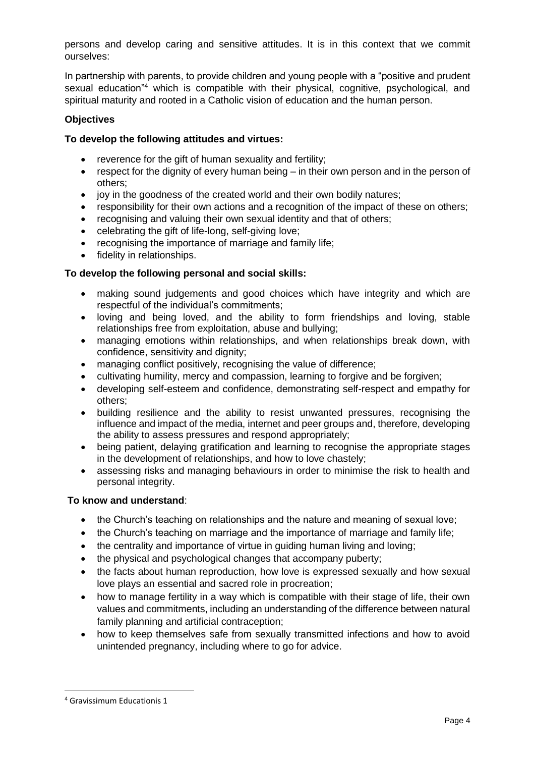persons and develop caring and sensitive attitudes. It is in this context that we commit ourselves:

In partnership with parents, to provide children and young people with a "positive and prudent sexual education"<sup>4</sup> which is compatible with their physical, cognitive, psychological, and spiritual maturity and rooted in a Catholic vision of education and the human person.

# **Objectives**

## **To develop the following attitudes and virtues:**

- reverence for the gift of human sexuality and fertility;
- respect for the dignity of every human being in their own person and in the person of others;
- joy in the goodness of the created world and their own bodily natures;
- responsibility for their own actions and a recognition of the impact of these on others;
- recognising and valuing their own sexual identity and that of others;
- celebrating the gift of life-long, self-giving love;
- recognising the importance of marriage and family life;
- fidelity in relationships.

# **To develop the following personal and social skills:**

- making sound judgements and good choices which have integrity and which are respectful of the individual's commitments;
- loving and being loved, and the ability to form friendships and loving, stable relationships free from exploitation, abuse and bullying;
- managing emotions within relationships, and when relationships break down, with confidence, sensitivity and dignity;
- managing conflict positively, recognising the value of difference;
- cultivating humility, mercy and compassion, learning to forgive and be forgiven;
- developing self-esteem and confidence, demonstrating self-respect and empathy for others;
- building resilience and the ability to resist unwanted pressures, recognising the influence and impact of the media, internet and peer groups and, therefore, developing the ability to assess pressures and respond appropriately;
- being patient, delaying gratification and learning to recognise the appropriate stages in the development of relationships, and how to love chastely;
- assessing risks and managing behaviours in order to minimise the risk to health and personal integrity.

## **To know and understand**:

- the Church's teaching on relationships and the nature and meaning of sexual love;
- the Church's teaching on marriage and the importance of marriage and family life;
- the centrality and importance of virtue in guiding human living and loving;
- the physical and psychological changes that accompany puberty;
- the facts about human reproduction, how love is expressed sexually and how sexual love plays an essential and sacred role in procreation;
- how to manage fertility in a way which is compatible with their stage of life, their own values and commitments, including an understanding of the difference between natural family planning and artificial contraception;
- how to keep themselves safe from sexually transmitted infections and how to avoid unintended pregnancy, including where to go for advice.

**.** 

<sup>4</sup> Gravissimum Educationis 1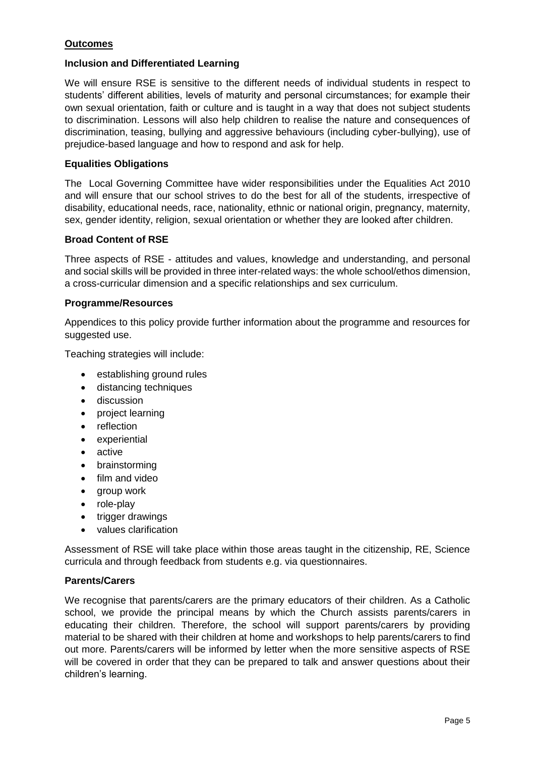# **Outcomes**

## **Inclusion and Differentiated Learning**

We will ensure RSE is sensitive to the different needs of individual students in respect to students' different abilities, levels of maturity and personal circumstances; for example their own sexual orientation, faith or culture and is taught in a way that does not subject students to discrimination. Lessons will also help children to realise the nature and consequences of discrimination, teasing, bullying and aggressive behaviours (including cyber-bullying), use of prejudice-based language and how to respond and ask for help.

## **Equalities Obligations**

The Local Governing Committee have wider responsibilities under the Equalities Act 2010 and will ensure that our school strives to do the best for all of the students, irrespective of disability, educational needs, race, nationality, ethnic or national origin, pregnancy, maternity, sex, gender identity, religion, sexual orientation or whether they are looked after children.

## **Broad Content of RSE**

Three aspects of RSE - attitudes and values, knowledge and understanding, and personal and social skills will be provided in three inter-related ways: the whole school/ethos dimension, a cross-curricular dimension and a specific relationships and sex curriculum.

## **Programme/Resources**

Appendices to this policy provide further information about the programme and resources for suggested use.

Teaching strategies will include:

- establishing ground rules
- distancing techniques
- **•** discussion
- project learning
- reflection
- experiential
- active
- brainstorming
- film and video
- group work
- role-play
- trigger drawings
- values clarification

Assessment of RSE will take place within those areas taught in the citizenship, RE, Science curricula and through feedback from students e.g. via questionnaires.

#### **Parents/Carers**

We recognise that parents/carers are the primary educators of their children. As a Catholic school, we provide the principal means by which the Church assists parents/carers in educating their children. Therefore, the school will support parents/carers by providing material to be shared with their children at home and workshops to help parents/carers to find out more. Parents/carers will be informed by letter when the more sensitive aspects of RSE will be covered in order that they can be prepared to talk and answer questions about their children's learning.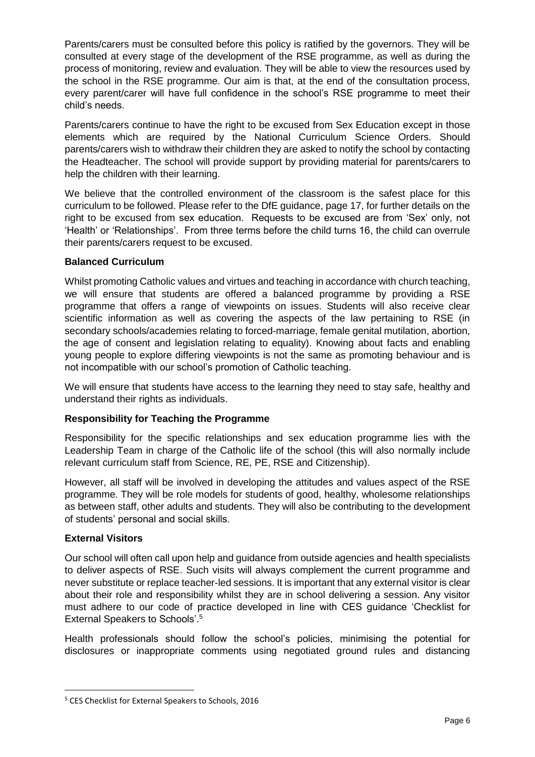Parents/carers must be consulted before this policy is ratified by the governors. They will be consulted at every stage of the development of the RSE programme, as well as during the process of monitoring, review and evaluation. They will be able to view the resources used by the school in the RSE programme. Our aim is that, at the end of the consultation process, every parent/carer will have full confidence in the school's RSE programme to meet their child's needs.

Parents/carers continue to have the right to be excused from Sex Education except in those elements which are required by the National Curriculum Science Orders. Should parents/carers wish to withdraw their children they are asked to notify the school by contacting the Headteacher. The school will provide support by providing material for parents/carers to help the children with their learning.

We believe that the controlled environment of the classroom is the safest place for this curriculum to be followed. Please refer to the DfE guidance, page 17, for further details on the right to be excused from sex education. Requests to be excused are from 'Sex' only, not 'Health' or 'Relationships'. From three terms before the child turns 16, the child can overrule their parents/carers request to be excused.

# **Balanced Curriculum**

Whilst promoting Catholic values and virtues and teaching in accordance with church teaching, we will ensure that students are offered a balanced programme by providing a RSE programme that offers a range of viewpoints on issues. Students will also receive clear scientific information as well as covering the aspects of the law pertaining to RSE (in secondary schools/academies relating to forced-marriage, female genital mutilation, abortion, the age of consent and legislation relating to equality). Knowing about facts and enabling young people to explore differing viewpoints is not the same as promoting behaviour and is not incompatible with our school's promotion of Catholic teaching.

We will ensure that students have access to the learning they need to stay safe, healthy and understand their rights as individuals.

# **Responsibility for Teaching the Programme**

Responsibility for the specific relationships and sex education programme lies with the Leadership Team in charge of the Catholic life of the school (this will also normally include relevant curriculum staff from Science, RE, PE, RSE and Citizenship).

However, all staff will be involved in developing the attitudes and values aspect of the RSE programme. They will be role models for students of good, healthy, wholesome relationships as between staff, other adults and students. They will also be contributing to the development of students' personal and social skills.

## **External Visitors**

**.** 

Our school will often call upon help and guidance from outside agencies and health specialists to deliver aspects of RSE. Such visits will always complement the current programme and never substitute or replace teacher-led sessions. It is important that any external visitor is clear about their role and responsibility whilst they are in school delivering a session. Any visitor must adhere to our code of practice developed in line with CES guidance 'Checklist for External Speakers to Schools'. 5

Health professionals should follow the school's policies, minimising the potential for disclosures or inappropriate comments using negotiated ground rules and distancing

<sup>5</sup> CES Checklist for External Speakers to Schools, 2016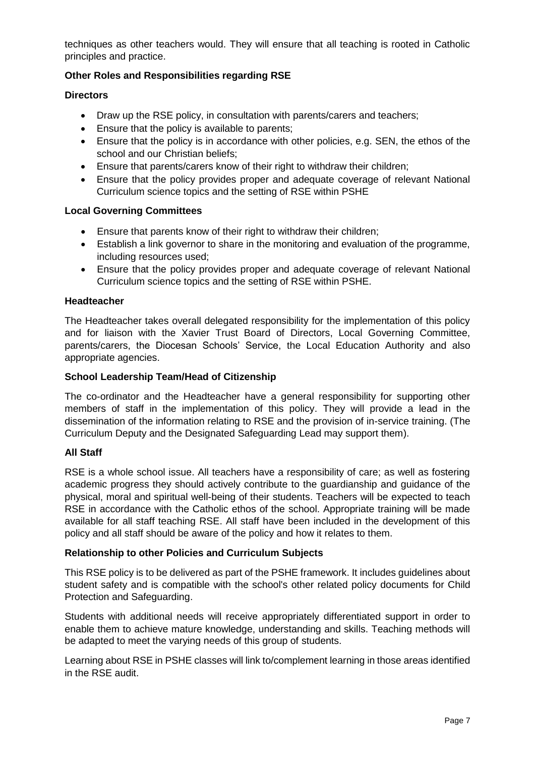techniques as other teachers would. They will ensure that all teaching is rooted in Catholic principles and practice.

# **Other Roles and Responsibilities regarding RSE**

## **Directors**

- Draw up the RSE policy, in consultation with parents/carers and teachers;
- **Ensure that the policy is available to parents;**
- Ensure that the policy is in accordance with other policies, e.g. SEN, the ethos of the school and our Christian beliefs:
- Ensure that parents/carers know of their right to withdraw their children;
- Ensure that the policy provides proper and adequate coverage of relevant National Curriculum science topics and the setting of RSE within PSHE

## **Local Governing Committees**

- Ensure that parents know of their right to withdraw their children;
- Establish a link governor to share in the monitoring and evaluation of the programme, including resources used;
- Ensure that the policy provides proper and adequate coverage of relevant National Curriculum science topics and the setting of RSE within PSHE.

#### **Headteacher**

The Headteacher takes overall delegated responsibility for the implementation of this policy and for liaison with the Xavier Trust Board of Directors, Local Governing Committee, parents/carers, the Diocesan Schools' Service, the Local Education Authority and also appropriate agencies.

#### **School Leadership Team/Head of Citizenship**

The co-ordinator and the Headteacher have a general responsibility for supporting other members of staff in the implementation of this policy. They will provide a lead in the dissemination of the information relating to RSE and the provision of in-service training. (The Curriculum Deputy and the Designated Safeguarding Lead may support them).

#### **All Staff**

RSE is a whole school issue. All teachers have a responsibility of care; as well as fostering academic progress they should actively contribute to the guardianship and guidance of the physical, moral and spiritual well-being of their students. Teachers will be expected to teach RSE in accordance with the Catholic ethos of the school. Appropriate training will be made available for all staff teaching RSE. All staff have been included in the development of this policy and all staff should be aware of the policy and how it relates to them.

## **Relationship to other Policies and Curriculum Subjects**

This RSE policy is to be delivered as part of the PSHE framework. It includes guidelines about student safety and is compatible with the school's other related policy documents for Child Protection and Safeguarding.

Students with additional needs will receive appropriately differentiated support in order to enable them to achieve mature knowledge, understanding and skills. Teaching methods will be adapted to meet the varying needs of this group of students.

Learning about RSE in PSHE classes will link to/complement learning in those areas identified in the RSE audit.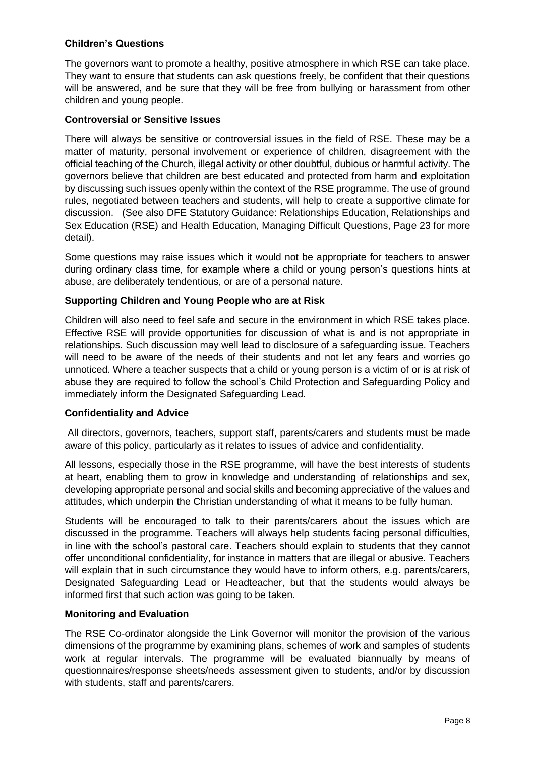# **Children's Questions**

The governors want to promote a healthy, positive atmosphere in which RSE can take place. They want to ensure that students can ask questions freely, be confident that their questions will be answered, and be sure that they will be free from bullying or harassment from other children and young people.

## **Controversial or Sensitive Issues**

There will always be sensitive or controversial issues in the field of RSE. These may be a matter of maturity, personal involvement or experience of children, disagreement with the official teaching of the Church, illegal activity or other doubtful, dubious or harmful activity. The governors believe that children are best educated and protected from harm and exploitation by discussing such issues openly within the context of the RSE programme. The use of ground rules, negotiated between teachers and students, will help to create a supportive climate for discussion. (See also DFE Statutory Guidance: Relationships Education, Relationships and Sex Education (RSE) and Health Education, Managing Difficult Questions, Page 23 for more detail).

Some questions may raise issues which it would not be appropriate for teachers to answer during ordinary class time, for example where a child or young person's questions hints at abuse, are deliberately tendentious, or are of a personal nature.

## **Supporting Children and Young People who are at Risk**

Children will also need to feel safe and secure in the environment in which RSE takes place. Effective RSE will provide opportunities for discussion of what is and is not appropriate in relationships. Such discussion may well lead to disclosure of a safeguarding issue. Teachers will need to be aware of the needs of their students and not let any fears and worries go unnoticed. Where a teacher suspects that a child or young person is a victim of or is at risk of abuse they are required to follow the school's Child Protection and Safeguarding Policy and immediately inform the Designated Safeguarding Lead.

#### **Confidentiality and Advice**

All directors, governors, teachers, support staff, parents/carers and students must be made aware of this policy, particularly as it relates to issues of advice and confidentiality.

All lessons, especially those in the RSE programme, will have the best interests of students at heart, enabling them to grow in knowledge and understanding of relationships and sex, developing appropriate personal and social skills and becoming appreciative of the values and attitudes, which underpin the Christian understanding of what it means to be fully human.

Students will be encouraged to talk to their parents/carers about the issues which are discussed in the programme. Teachers will always help students facing personal difficulties, in line with the school's pastoral care. Teachers should explain to students that they cannot offer unconditional confidentiality, for instance in matters that are illegal or abusive. Teachers will explain that in such circumstance they would have to inform others, e.g. parents/carers, Designated Safeguarding Lead or Headteacher, but that the students would always be informed first that such action was going to be taken.

#### **Monitoring and Evaluation**

The RSE Co-ordinator alongside the Link Governor will monitor the provision of the various dimensions of the programme by examining plans, schemes of work and samples of students work at regular intervals. The programme will be evaluated biannually by means of questionnaires/response sheets/needs assessment given to students, and/or by discussion with students, staff and parents/carers.